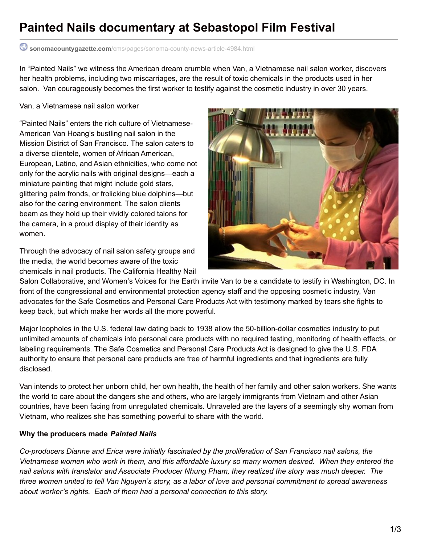# **Painted Nails documentary at Sebastopol Film Festival**

## **sonomacountygazette.com**[/cms/pages/sonoma-county-news-article-4984.html](http://www.sonomacountygazette.com/cms/pages/sonoma-county-news-article-4984.html)

In "Painted Nails" we witness the American dream crumble when Van, a Vietnamese nail salon worker, discovers her health problems, including two miscarriages, are the result of toxic chemicals in the products used in her salon. Van courageously becomes the first worker to testify against the cosmetic industry in over 30 years.

### Van, a Vietnamese nail salon worker

"Painted Nails" enters the rich culture of Vietnamese-American Van Hoang's bustling nail salon in the Mission District of San Francisco. The salon caters to a diverse clientele, women of African American, European, Latino, and Asian ethnicities, who come not only for the acrylic nails with original designs—each a miniature painting that might include gold stars, glittering palm fronds, or frolicking blue dolphins—but also for the caring environment. The salon clients beam as they hold up their vividly colored talons for the camera, in a proud display of their identity as women.

Through the advocacy of nail salon safety groups and the media, the world becomes aware of the toxic chemicals in nail products. The California Healthy Nail



Salon Collaborative, and Women's Voices for the Earth invite Van to be a candidate to testify in Washington, DC. In front of the congressional and environmental protection agency staff and the opposing cosmetic industry, Van advocates for the Safe Cosmetics and Personal Care Products Act with testimony marked by tears she fights to keep back, but which make her words all the more powerful.

Major loopholes in the U.S. federal law dating back to 1938 allow the 50-billion-dollar cosmetics industry to put unlimited amounts of chemicals into personal care products with no required testing, monitoring of health effects, or labeling requirements. The Safe Cosmetics and Personal Care Products Act is designed to give the U.S. FDA authority to ensure that personal care products are free of harmful ingredients and that ingredients are fully disclosed.

Van intends to protect her unborn child, her own health, the health of her family and other salon workers. She wants the world to care about the dangers she and others, who are largely immigrants from Vietnam and other Asian countries, have been facing from unregulated chemicals. Unraveled are the layers of a seemingly shy woman from Vietnam, who realizes she has something powerful to share with the world.

### **Why the producers made** *Painted Nails*

*Co-producers Dianne and Erica were initially fascinated by the proliferation of San Francisco nail salons, the* Vietnamese women who work in them, and this affordable luxury so many women desired. When they entered the nail salons with translator and Associate Producer Nhung Pham, they realized the story was much deeper. The three women united to tell Van Nguyen's story, as a labor of love and personal commitment to spread awareness *about worker's rights. Each of them had a personal connection to this story.*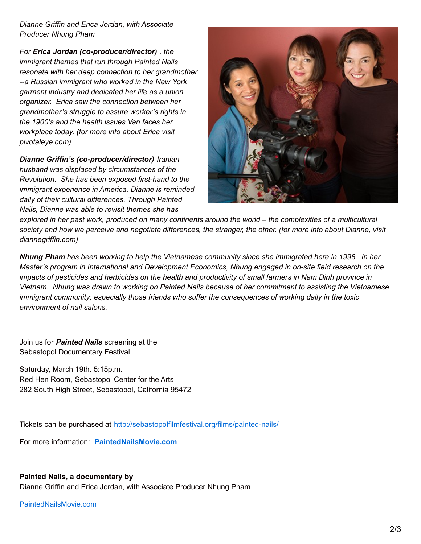*Dianne Griffin and Erica Jordan, with Associate Producer Nhung Pham*

*For Erica Jordan (co-producer/director) , the immigrant themes that run through Painted Nails resonate with her deep connection to her grandmother --a Russian immigrant who worked in the New York garment industry and dedicated her life as a union organizer. Erica saw the connection between her grandmother's struggle to assure worker's rights in the 1900's and the health issues Van faces her workplace today. (for more info about Erica visit pivotaleye.com)*

*Dianne Griffin's (co-producer/director) Iranian husband was displaced by circumstances of the Revolution. She has been exposed first-hand to the immigrant experience in America. Dianne is reminded daily of their cultural differences. Through Painted Nails, Dianne was able to revisit themes she has*



explored in her past work, produced on many continents around the world - the complexities of a multicultural society and how we perceive and negotiate differences, the stranger, the other. (for more info about Dianne, visit *diannegriffin.com)*

Nhung Pham has been working to help the Vietnamese community since she immigrated here in 1998. In her *Master's program in International and Development Economics, Nhung engaged in on-site field research on the* impacts of pesticides and herbicides on the health and productivity of small farmers in Nam Dinh province in Vietnam. Nhung was drawn to working on Painted Nails because of her commitment to assisting the Vietnamese *immigrant community; especially those friends who suffer the consequences of working daily in the toxic environment of nail salons.*

Join us for *Painted Nails* screening at the Sebastopol Documentary Festival

Saturday, March 19th. 5:15p.m. Red Hen Room, Sebastopol Center for the Arts 282 South High Street, Sebastopol, California 95472

Tickets can be purchased at <http://sebastopolfilmfestival.org/films/painted-nails/>

For more information: **[PaintedNailsMovie.com](http://paintednailsmovie.com/)**

#### **Painted Nails, a documentary by**

Dianne Griffin and Erica Jordan, with Associate Producer Nhung Pham

[PaintedNailsMovie.com](http://paintednailsmovie.com/)